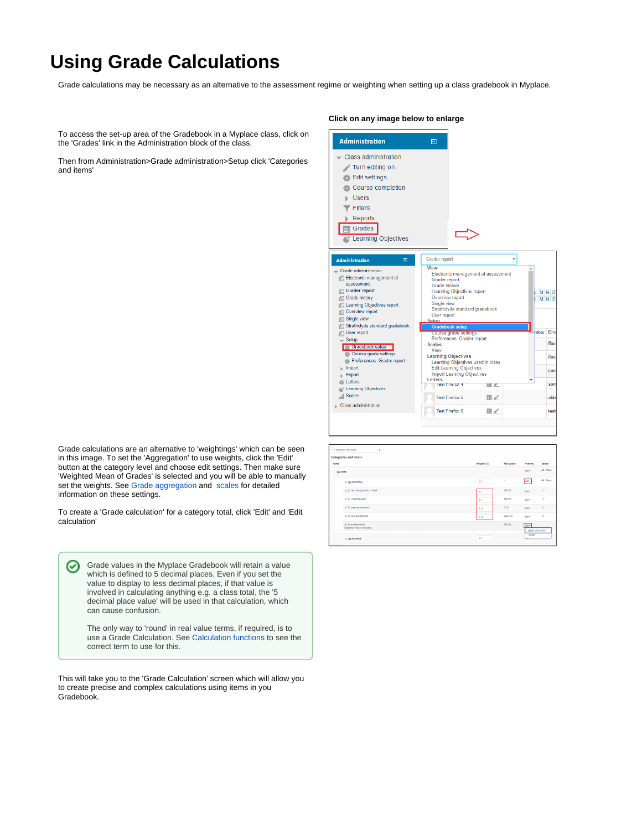## **Using Grade Calculations**

Grade calculations may be necessary as an alternative to the assessment regime or weighting when setting up a class gradebook in Myplace.

To access the set-up area of the Gradebook in a Myplace class, click on the 'Grades' link in the Administration block of the class.

Then from Administration>Grade administration>Setup click 'Categories and items'

Grade calculations are an alternative to 'weightings' which can be seen in this image. To set the 'Aggregation' to use weights, click the 'Edit' button at the category level and choose edit settings. Then make sure 'Weighted Mean of Grades' is selected and you will be able to manually set the weights. See [Grade aggregation](https://docs.moodle.org/34/en/Grade_aggregation) and [scales](https://docs.moodle.org/34/en/Scales) for detailed information on these settings.

To create a 'Grade calculation' for a category total, click 'Edit' and 'Edit calculation'

Grade values in the Myplace Gradebook will retain a value ⊘ which is defined to 5 decimal places. Even if you set the value to display to less decimal places, if that value is involved in calculating anything e.g. a class total, the '5 decimal place value' will be used in that calculation, which can cause confusion.

The only way to 'round' in real value terms, if required, is to use a Grade Calculation. See [Calculation functions](https://docs.moodle.org/34/en/Grade_calculations#Calculation_functions) to see the correct term to use for this.

This will take you to the 'Grade Calculation' screen which will allow you to create precise and complex calculations using items in you Gradebook.

## **Click on any image below to enlarge**

| <b>Administration</b>                          | E                    |                                                        |                |
|------------------------------------------------|----------------------|--------------------------------------------------------|----------------|
| <b>Class administration</b>                    |                      |                                                        |                |
| Turn editing on<br>Edit settings               |                      |                                                        |                |
| <b>Course completion</b>                       |                      |                                                        |                |
| <b>Users</b>                                   |                      |                                                        |                |
| <b>Filters</b>                                 |                      |                                                        |                |
| Reports                                        |                      |                                                        |                |
| Grades                                         |                      |                                                        |                |
| <b>Learning Objectives</b>                     |                      |                                                        |                |
| $\blacksquare$<br><b>Administration</b>        | <b>Grader report</b> |                                                        |                |
| Grade administration                           | <b>View</b>          | Electronic management of assessment                    |                |
| Electronic management of<br>assessment         | <b>Grader report</b> |                                                        |                |
| Grader report                                  | <b>Grade history</b> | Learning Objectives report                             |                |
| <b>Grade history</b><br>Æ                      |                      | Overview report                                        |                |
| Learning Objectives report<br>đ.               | Single view          | Strathclyde standard gradebook                         |                |
| Overview report                                | User report          |                                                        |                |
| Single view<br>ÆП                              | <b>Setup</b>         |                                                        |                |
| Strathclyde standard gradebook<br>User report  |                      | <b>Gradebook setup</b><br><b>Course grade settings</b> |                |
| Setup                                          |                      | Preferences: Grader report                             |                |
| <b>Gradebook setup</b>                         | <b>Scales</b>        |                                                        |                |
| Course grade settings                          | View                 | <b>Learning Objectives</b>                             |                |
| Preferences: Grader report                     |                      | Learning Objectives used in class                      |                |
| Import                                         |                      | <b>Edit Learning Objectives</b>                        |                |
| Export                                         | <b>Letters</b>       | <b>Import Learning Objectives</b>                      |                |
| <b>Letters</b>                                 |                      | THST FITHIOX 4                                         | $\blacksquare$ |
| <b>Learning Objectives</b><br><b>IN</b> Scales |                      | <b>Test Firefox 5</b>                                  | ▥〃             |
|                                                |                      |                                                        |                |
| Class administration                           |                      | <b>Test Firefox 6</b>                                  | ▦↙             |

|      | Categories and terris<br>۰                    |             |           |                                    |            |
|------|-----------------------------------------------|-------------|-----------|------------------------------------|------------|
| Name | <b>Categories and items</b>                   | Weights (2) | Max grade | Actions                            | Select     |
|      | <b>Illig all test</b>                         |             | ×.        | Edit+                              | All / None |
|      | o illa Sammative                              | 1.0         | ×         | Edit+                              | All / None |
|      | o. all test assignment no blind               | 0.5         | 100.00    | Edit+                              | E          |
|      | o. E marking guide                            | 0.3         | 100.00    | Edit+                              | $\Box$     |
|      | o Y peer assessment                           | 0.16        | 5.00      | Edit+                              | $\Box$     |
|      | o. 2 test assignment                          | 0.15        | pass (2)  | Edit+                              | $\Box$     |
|      | E Summative total<br>Weighted mean of grades. |             | 100.00    | Edit+<br><b>INEdit calculation</b> |            |
|      | <b>6. Illu Formative</b>                      | 0.0         | $\sim$    | oHde<br><b>SAFER</b>               |            |